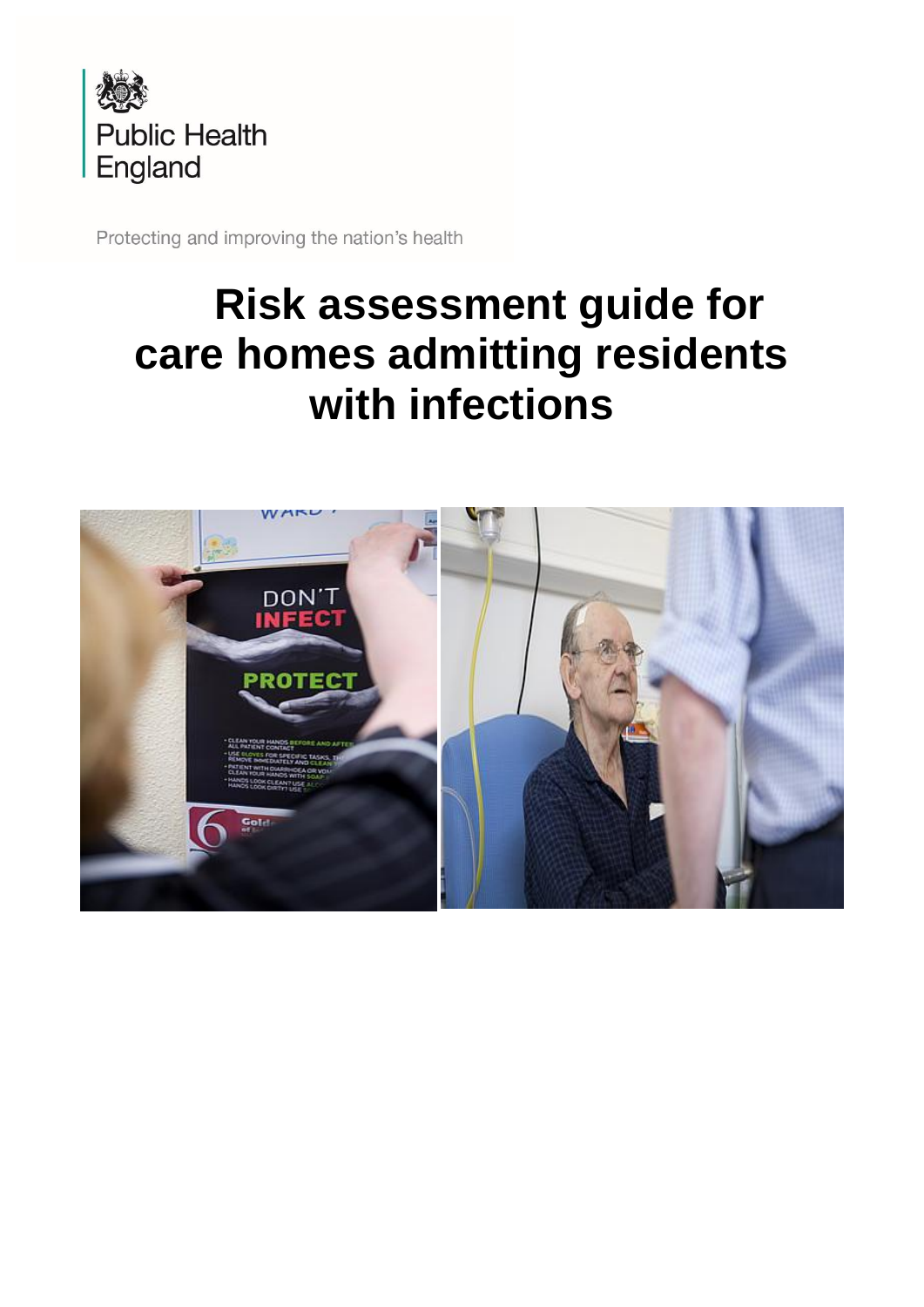

Protecting and improving the nation's health

# **Risk assessment guide for care homes admitting residents with infections**

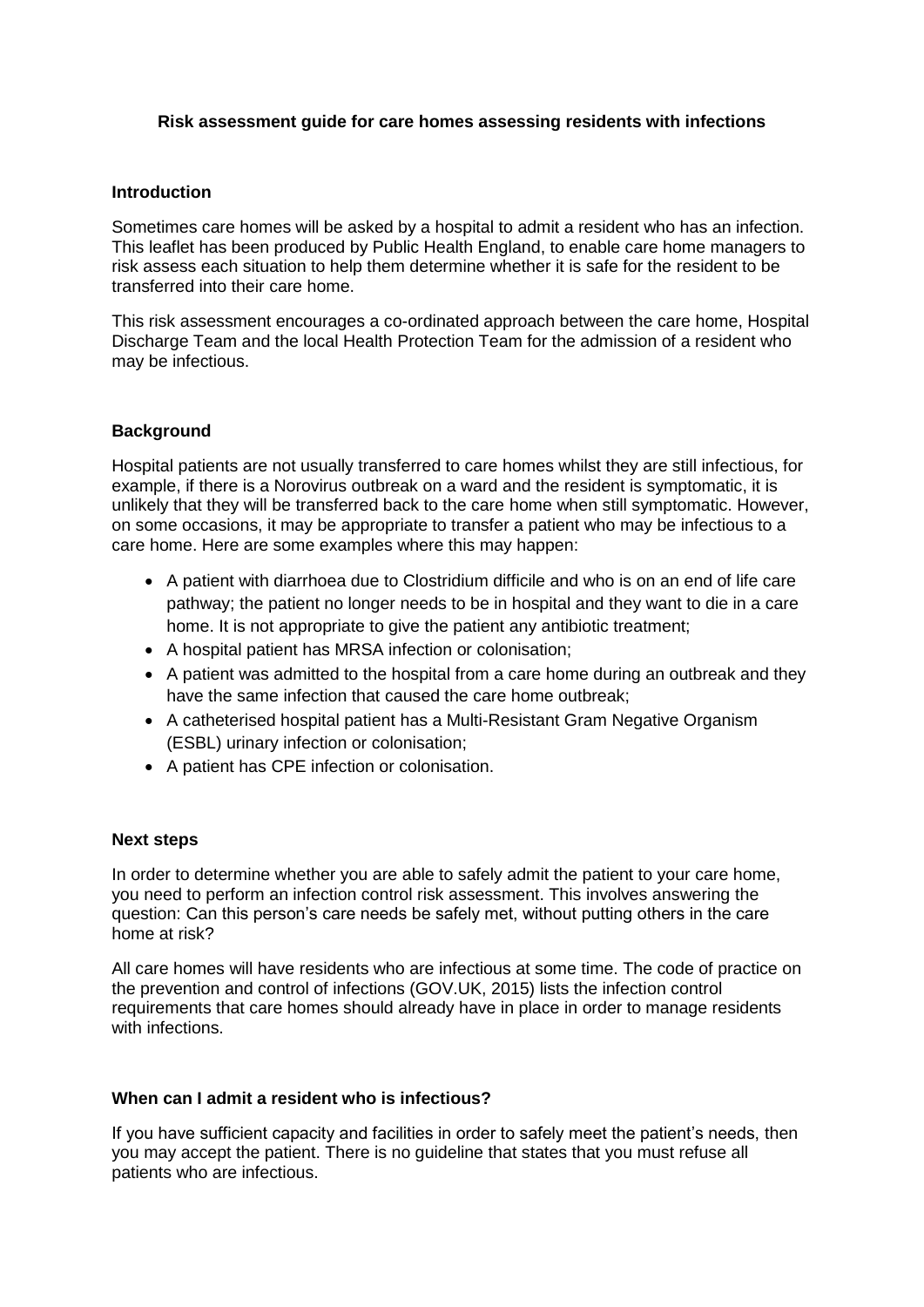#### **Risk assessment guide for care homes assessing residents with infections**

#### **Introduction**

Sometimes care homes will be asked by a hospital to admit a resident who has an infection. This leaflet has been produced by Public Health England, to enable care home managers to risk assess each situation to help them determine whether it is safe for the resident to be transferred into their care home.

This risk assessment encourages a co-ordinated approach between the care home, Hospital Discharge Team and the local Health Protection Team for the admission of a resident who may be infectious.

#### **Background**

Hospital patients are not usually transferred to care homes whilst they are still infectious, for example, if there is a Norovirus outbreak on a ward and the resident is symptomatic, it is unlikely that they will be transferred back to the care home when still symptomatic. However, on some occasions, it may be appropriate to transfer a patient who may be infectious to a care home. Here are some examples where this may happen:

- A patient with diarrhoea due to Clostridium difficile and who is on an end of life care pathway; the patient no longer needs to be in hospital and they want to die in a care home. It is not appropriate to give the patient any antibiotic treatment;
- A hospital patient has MRSA infection or colonisation;
- A patient was admitted to the hospital from a care home during an outbreak and they have the same infection that caused the care home outbreak;
- A catheterised hospital patient has a Multi-Resistant Gram Negative Organism (ESBL) urinary infection or colonisation;
- A patient has CPE infection or colonisation.

#### **Next steps**

In order to determine whether you are able to safely admit the patient to your care home, you need to perform an infection control risk assessment. This involves answering the question: Can this person's care needs be safely met, without putting others in the care home at risk?

All care homes will have residents who are infectious at some time. The code of practice on the prevention and control of infections (GOV.UK, 2015) lists the infection control requirements that care homes should already have in place in order to manage residents with infections.

#### **When can I admit a resident who is infectious?**

If you have sufficient capacity and facilities in order to safely meet the patient's needs, then you may accept the patient. There is no guideline that states that you must refuse all patients who are infectious.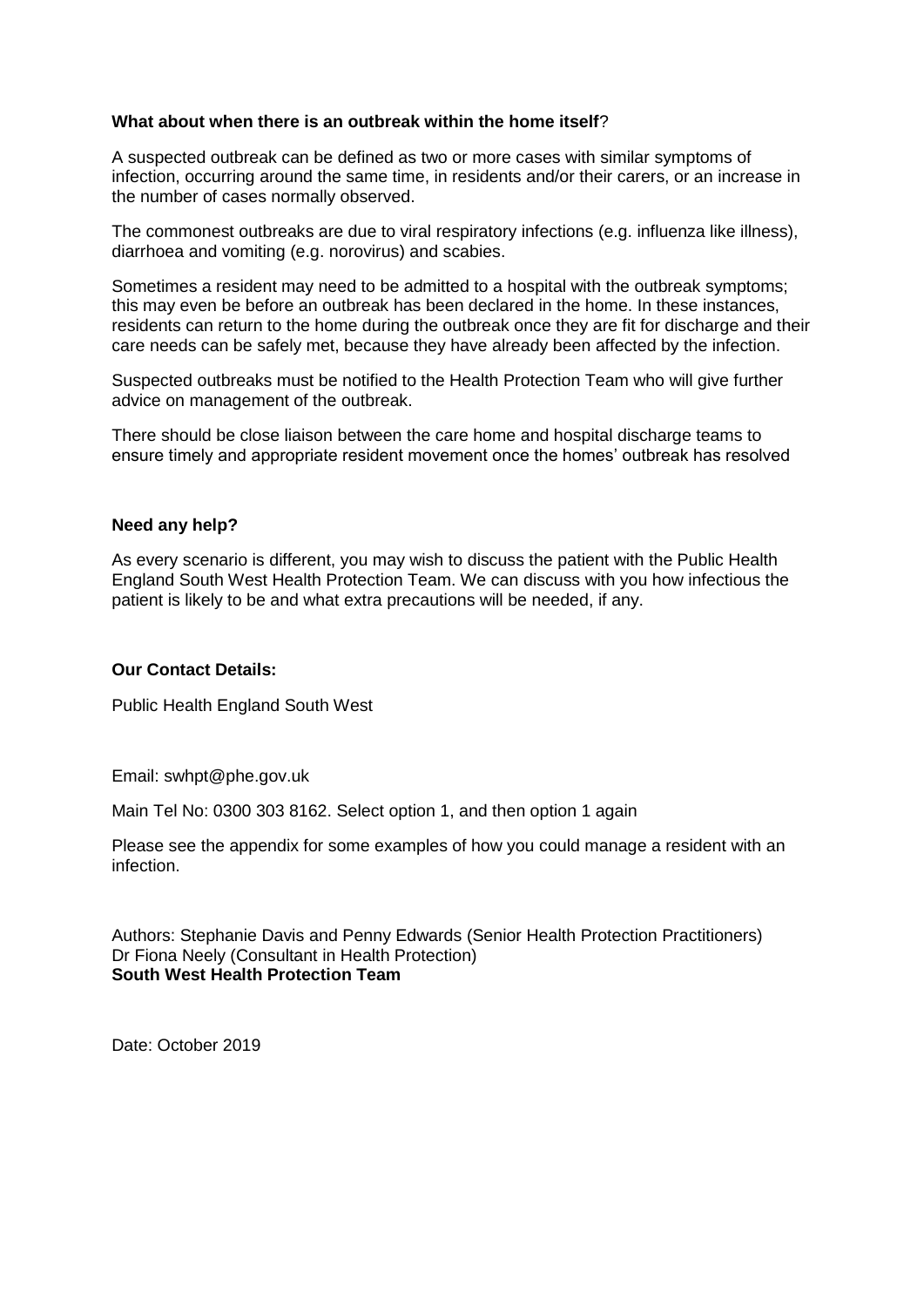#### **What about when there is an outbreak within the home itself**?

A suspected outbreak can be defined as two or more cases with similar symptoms of infection, occurring around the same time, in residents and/or their carers, or an increase in the number of cases normally observed.

The commonest outbreaks are due to viral respiratory infections (e.g. influenza like illness), diarrhoea and vomiting (e.g. norovirus) and scabies.

Sometimes a resident may need to be admitted to a hospital with the outbreak symptoms; this may even be before an outbreak has been declared in the home. In these instances, residents can return to the home during the outbreak once they are fit for discharge and their care needs can be safely met, because they have already been affected by the infection.

Suspected outbreaks must be notified to the Health Protection Team who will give further advice on management of the outbreak.

There should be close liaison between the care home and hospital discharge teams to ensure timely and appropriate resident movement once the homes' outbreak has resolved

#### **Need any help?**

As every scenario is different, you may wish to discuss the patient with the Public Health England South West Health Protection Team. We can discuss with you how infectious the patient is likely to be and what extra precautions will be needed, if any.

## **Our Contact Details:**

Public Health England South West

Email: swhpt@phe.gov.uk

Main Tel No: 0300 303 8162. Select option 1, and then option 1 again

Please see the appendix for some examples of how you could manage a resident with an infection.

Authors: Stephanie Davis and Penny Edwards (Senior Health Protection Practitioners) Dr Fiona Neely (Consultant in Health Protection) **South West Health Protection Team**

Date: October 2019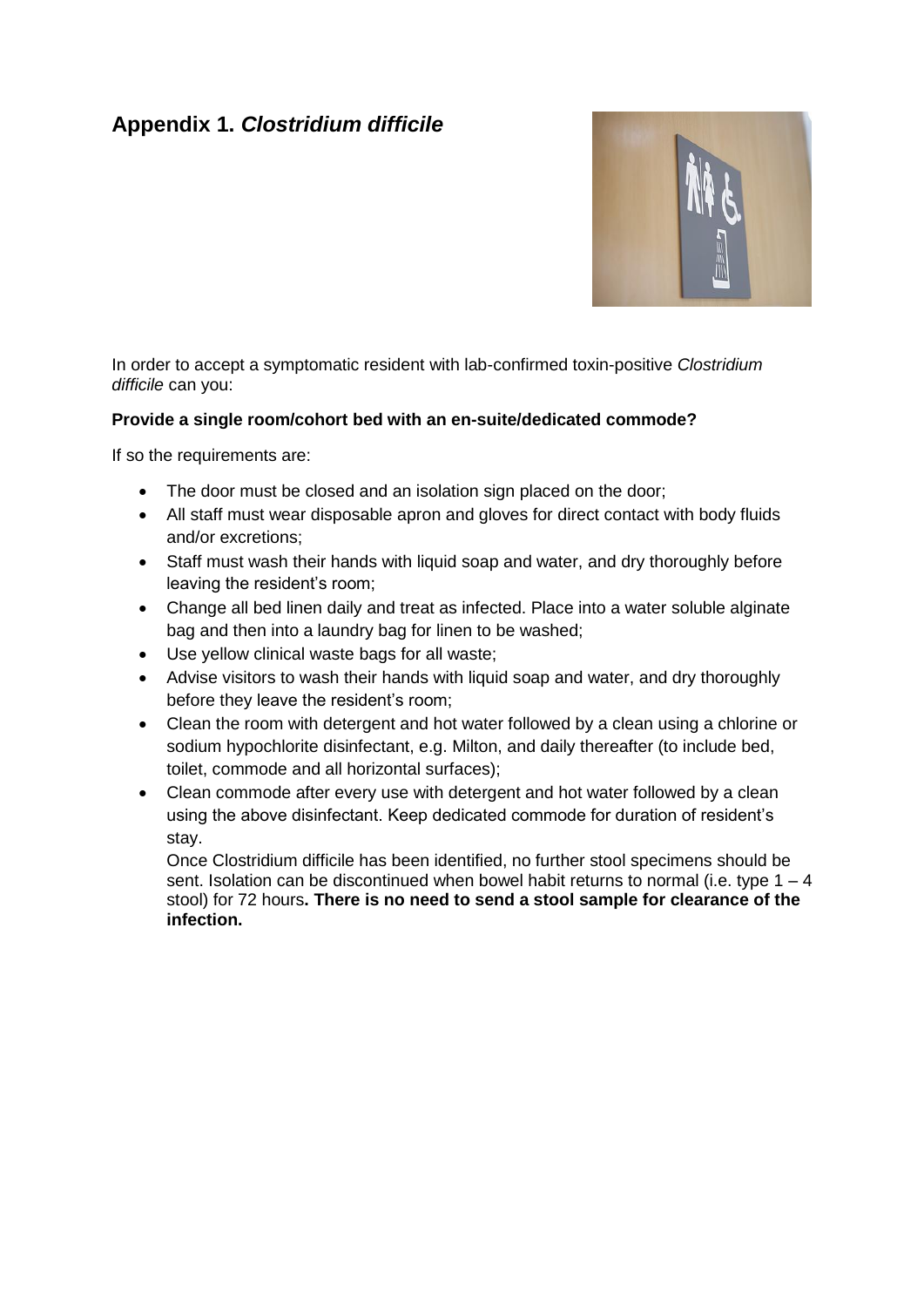# **Appendix 1.** *Clostridium difficile*



In order to accept a symptomatic resident with lab-confirmed toxin-positive *Clostridium difficile* can you:

## **Provide a single room/cohort bed with an en-suite/dedicated commode?**

If so the requirements are:

- The door must be closed and an isolation sign placed on the door:
- All staff must wear disposable apron and gloves for direct contact with body fluids and/or excretions;
- Staff must wash their hands with liquid soap and water, and dry thoroughly before leaving the resident's room;
- Change all bed linen daily and treat as infected. Place into a water soluble alginate bag and then into a laundry bag for linen to be washed;
- Use yellow clinical waste bags for all waste;
- Advise visitors to wash their hands with liquid soap and water, and dry thoroughly before they leave the resident's room;
- Clean the room with detergent and hot water followed by a clean using a chlorine or sodium hypochlorite disinfectant, e.g. Milton, and daily thereafter (to include bed, toilet, commode and all horizontal surfaces);
- Clean commode after every use with detergent and hot water followed by a clean using the above disinfectant. Keep dedicated commode for duration of resident's stay.

Once Clostridium difficile has been identified, no further stool specimens should be sent. Isolation can be discontinued when bowel habit returns to normal (i.e. type  $1 - 4$ ) stool) for 72 hours**. There is no need to send a stool sample for clearance of the infection.**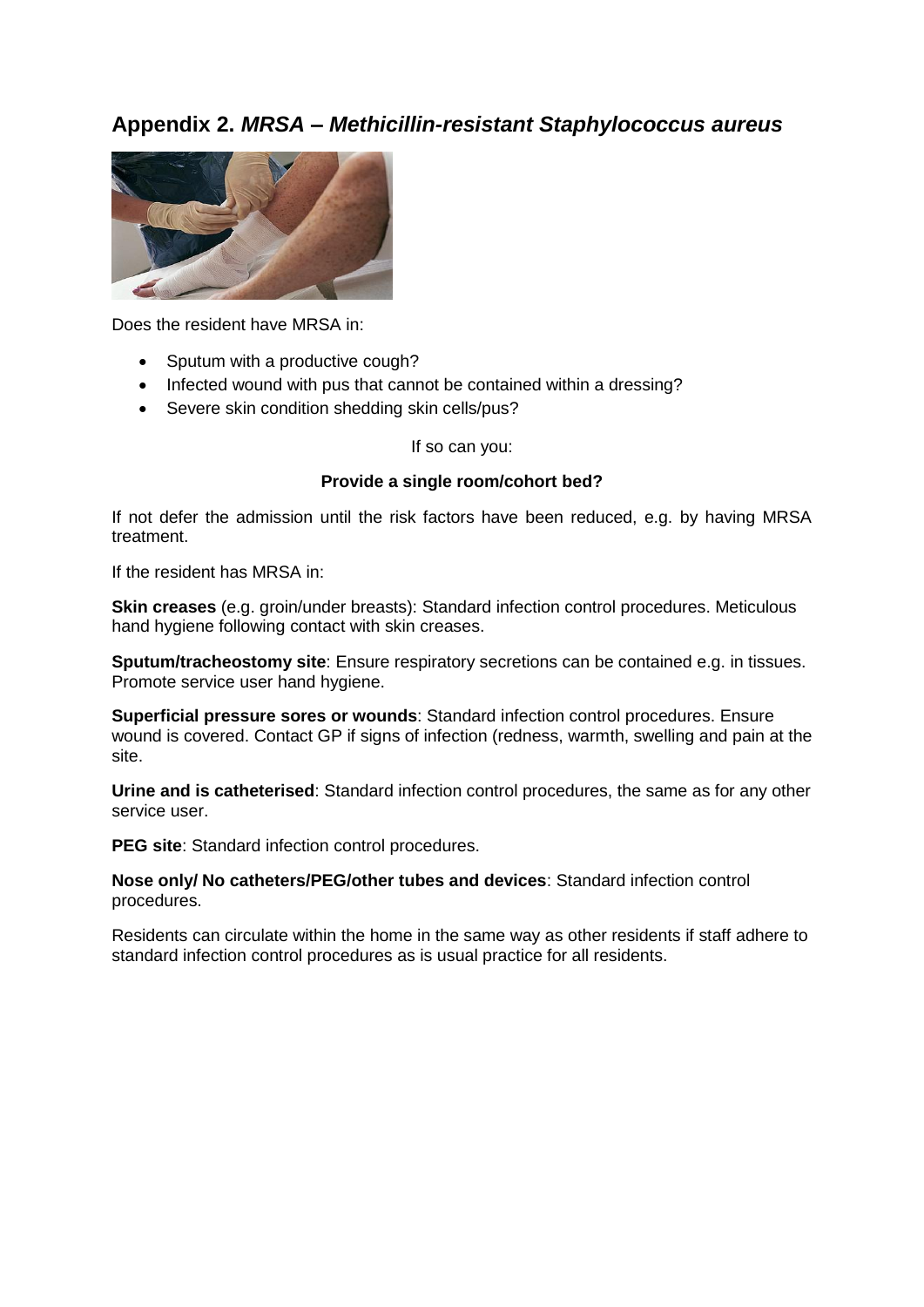## **Appendix 2.** *MRSA – Methicillin-resistant Staphylococcus aureus*



Does the resident have MRSA in:

- Sputum with a productive cough?
- Infected wound with pus that cannot be contained within a dressing?
- Severe skin condition shedding skin cells/pus?

If so can you:

#### **Provide a single room/cohort bed?**

If not defer the admission until the risk factors have been reduced, e.g. by having MRSA treatment.

If the resident has MRSA in:

**Skin creases** (e.g. groin/under breasts): Standard infection control procedures. Meticulous hand hygiene following contact with skin creases.

**Sputum/tracheostomy site**: Ensure respiratory secretions can be contained e.g. in tissues. Promote service user hand hygiene.

**Superficial pressure sores or wounds**: Standard infection control procedures. Ensure wound is covered. Contact GP if signs of infection (redness, warmth, swelling and pain at the site.

**Urine and is catheterised**: Standard infection control procedures, the same as for any other service user.

**PEG site**: Standard infection control procedures.

**Nose only/ No catheters/PEG/other tubes and devices**: Standard infection control procedures.

Residents can circulate within the home in the same way as other residents if staff adhere to standard infection control procedures as is usual practice for all residents.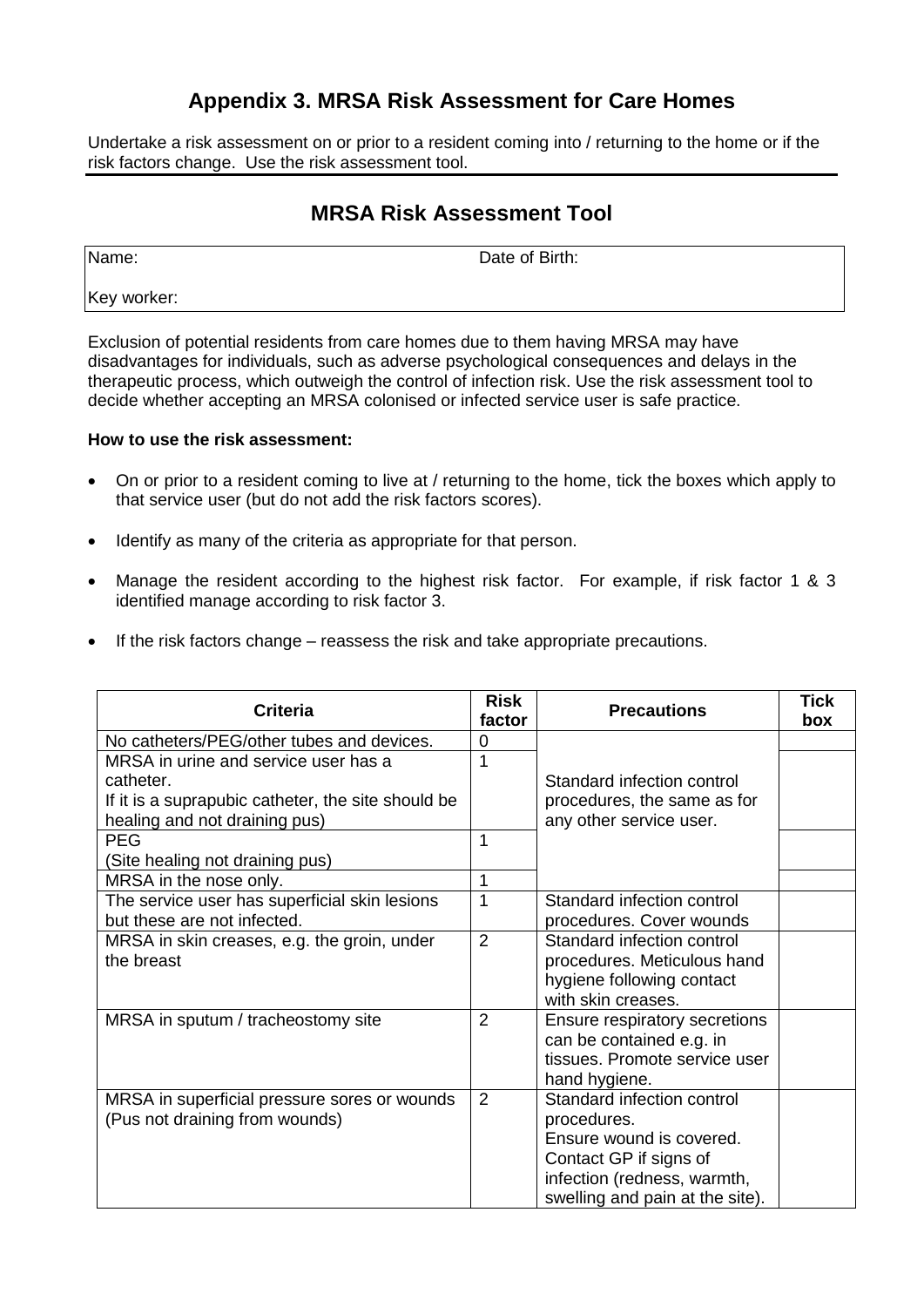# **Appendix 3. MRSA Risk Assessment for Care Homes**

Undertake a risk assessment on or prior to a resident coming into / returning to the home or if the risk factors change. Use the risk assessment tool.

# **MRSA Risk Assessment Tool**

Name: **Name:** Date of Birth:

Key worker:

Exclusion of potential residents from care homes due to them having MRSA may have disadvantages for individuals, such as adverse psychological consequences and delays in the therapeutic process, which outweigh the control of infection risk. Use the risk assessment tool to decide whether accepting an MRSA colonised or infected service user is safe practice.

## **How to use the risk assessment:**

- On or prior to a resident coming to live at / returning to the home, tick the boxes which apply to that service user (but do not add the risk factors scores).
- Identify as many of the criteria as appropriate for that person.
- Manage the resident according to the highest risk factor. For example, if risk factor 1 & 3 identified manage according to risk factor 3.
- If the risk factors change reassess the risk and take appropriate precautions.

| <b>Criteria</b>                                                                                                                          | <b>Risk</b><br>factor | <b>Precautions</b>                                                                                                                                                | <b>Tick</b><br>box |
|------------------------------------------------------------------------------------------------------------------------------------------|-----------------------|-------------------------------------------------------------------------------------------------------------------------------------------------------------------|--------------------|
| No catheters/PEG/other tubes and devices.                                                                                                | 0                     | Standard infection control<br>procedures, the same as for<br>any other service user.                                                                              |                    |
| MRSA in urine and service user has a<br>catheter.<br>If it is a suprapubic catheter, the site should be<br>healing and not draining pus) | 1                     |                                                                                                                                                                   |                    |
| <b>PEG</b>                                                                                                                               | 1                     |                                                                                                                                                                   |                    |
| (Site healing not draining pus)                                                                                                          |                       |                                                                                                                                                                   |                    |
| MRSA in the nose only.                                                                                                                   | 1                     |                                                                                                                                                                   |                    |
| The service user has superficial skin lesions<br>but these are not infected.                                                             | 1                     | Standard infection control<br>procedures. Cover wounds                                                                                                            |                    |
| MRSA in skin creases, e.g. the groin, under<br>the breast                                                                                | $\overline{2}$        | Standard infection control<br>procedures. Meticulous hand<br>hygiene following contact<br>with skin creases.                                                      |                    |
| MRSA in sputum / tracheostomy site                                                                                                       | 2                     | Ensure respiratory secretions<br>can be contained e.g. in<br>tissues. Promote service user<br>hand hygiene.                                                       |                    |
| MRSA in superficial pressure sores or wounds<br>(Pus not draining from wounds)                                                           | 2                     | Standard infection control<br>procedures.<br>Ensure wound is covered.<br>Contact GP if signs of<br>infection (redness, warmth,<br>swelling and pain at the site). |                    |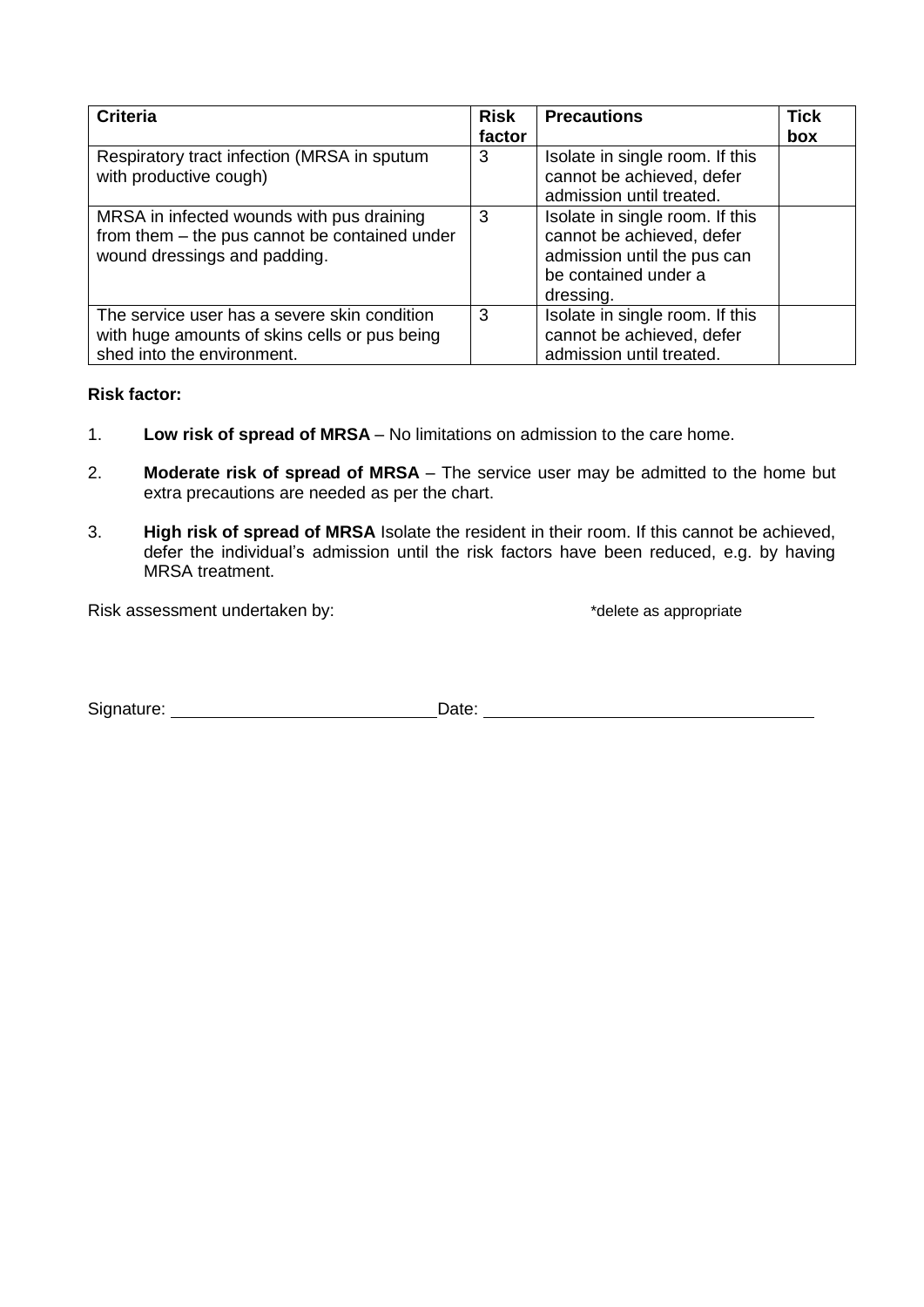| <b>Criteria</b>                                                                                                             | <b>Risk</b><br>factor | <b>Precautions</b>                                                                                                               | <b>Tick</b><br>box |
|-----------------------------------------------------------------------------------------------------------------------------|-----------------------|----------------------------------------------------------------------------------------------------------------------------------|--------------------|
| Respiratory tract infection (MRSA in sputum<br>with productive cough)                                                       | 3                     | Isolate in single room. If this<br>cannot be achieved, defer<br>admission until treated.                                         |                    |
| MRSA in infected wounds with pus draining<br>from them - the pus cannot be contained under<br>wound dressings and padding.  | 3                     | Isolate in single room. If this<br>cannot be achieved, defer<br>admission until the pus can<br>be contained under a<br>dressing. |                    |
| The service user has a severe skin condition<br>with huge amounts of skins cells or pus being<br>shed into the environment. | 3                     | Isolate in single room. If this<br>cannot be achieved, defer<br>admission until treated.                                         |                    |

## **Risk factor:**

- 1. **Low risk of spread of MRSA** No limitations on admission to the care home.
- 2. **Moderate risk of spread of MRSA** The service user may be admitted to the home but extra precautions are needed as per the chart.
- 3. **High risk of spread of MRSA** Isolate the resident in their room. If this cannot be achieved, defer the individual's admission until the risk factors have been reduced, e.g. by having MRSA treatment.

Risk assessment undertaken by:  $\blacksquare$  \*delete as appropriate

Signature: Date: Date: Date: Date: Date: Date: Date: Date: Date: Date: Date: Date: Date: Date: Date: Date: Date: Date: Date: Date: Date: Date: Date: Date: Date: Date: Date: Date: Date: Date: Date: Date: Date: Date: Date: D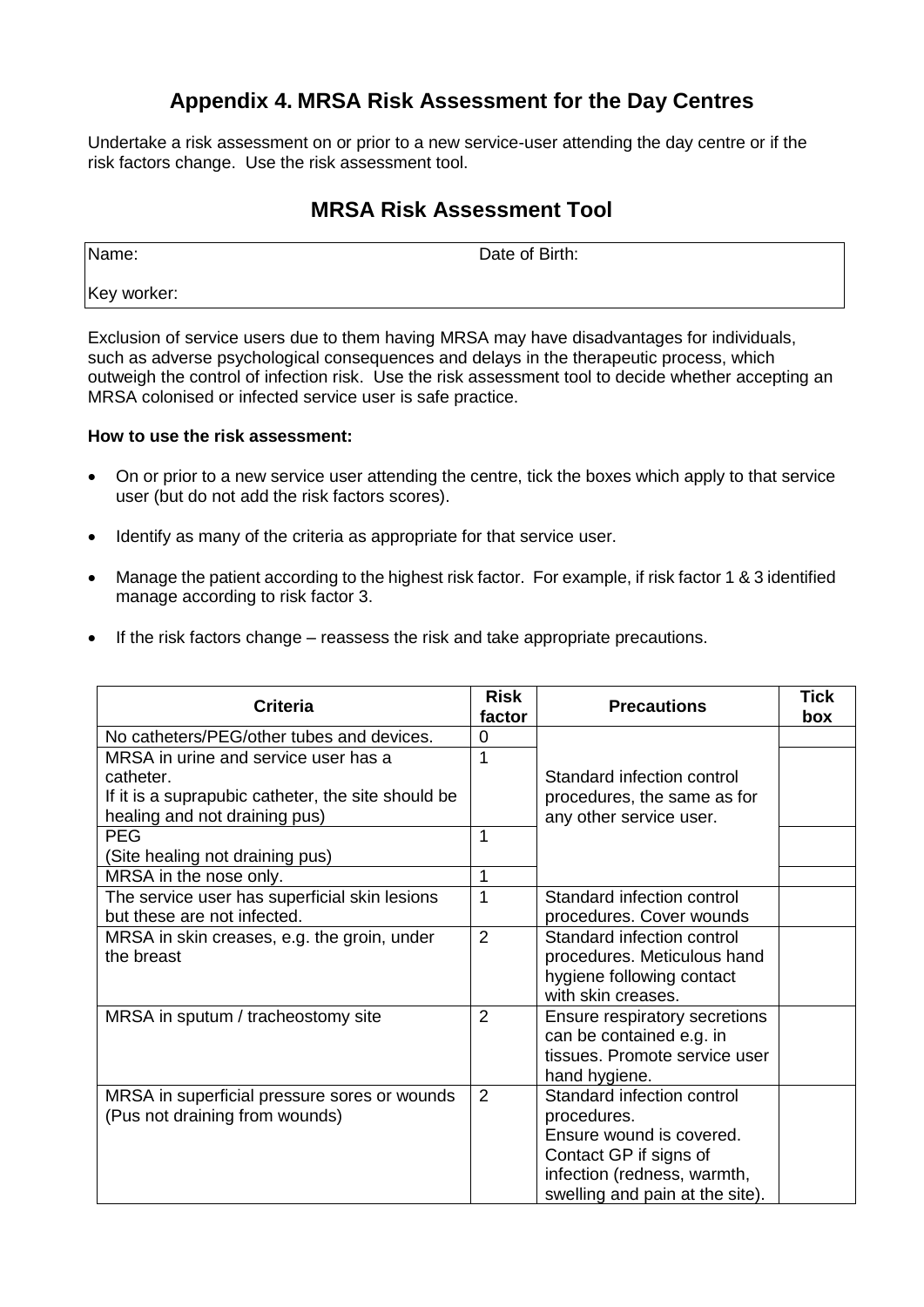# **Appendix 4. MRSA Risk Assessment for the Day Centres**

Undertake a risk assessment on or prior to a new service-user attending the day centre or if the risk factors change. Use the risk assessment tool.

# **MRSA Risk Assessment Tool**

Name: Date of Birth:

Key worker:

Exclusion of service users due to them having MRSA may have disadvantages for individuals, such as adverse psychological consequences and delays in the therapeutic process, which outweigh the control of infection risk. Use the risk assessment tool to decide whether accepting an MRSA colonised or infected service user is safe practice.

## **How to use the risk assessment:**

- On or prior to a new service user attending the centre, tick the boxes which apply to that service user (but do not add the risk factors scores).
- Identify as many of the criteria as appropriate for that service user.
- Manage the patient according to the highest risk factor. For example, if risk factor 1 & 3 identified manage according to risk factor 3.
- If the risk factors change reassess the risk and take appropriate precautions.

| <b>Criteria</b>                                                                                                                          | <b>Risk</b><br>factor | <b>Precautions</b>                                                                                                                                                | Tick<br>box |
|------------------------------------------------------------------------------------------------------------------------------------------|-----------------------|-------------------------------------------------------------------------------------------------------------------------------------------------------------------|-------------|
| No catheters/PEG/other tubes and devices.                                                                                                | 0                     |                                                                                                                                                                   |             |
| MRSA in urine and service user has a<br>catheter.<br>If it is a suprapubic catheter, the site should be<br>healing and not draining pus) | 1                     | Standard infection control<br>procedures, the same as for<br>any other service user.                                                                              |             |
| <b>PEG</b><br>(Site healing not draining pus)                                                                                            | 1                     |                                                                                                                                                                   |             |
| MRSA in the nose only.                                                                                                                   | 1                     |                                                                                                                                                                   |             |
| The service user has superficial skin lesions<br>but these are not infected.                                                             | 1                     | Standard infection control<br>procedures. Cover wounds                                                                                                            |             |
| MRSA in skin creases, e.g. the groin, under<br>the breast                                                                                | $\overline{2}$        | Standard infection control<br>procedures. Meticulous hand<br>hygiene following contact<br>with skin creases.                                                      |             |
| MRSA in sputum / tracheostomy site                                                                                                       | $\overline{2}$        | Ensure respiratory secretions<br>can be contained e.g. in<br>tissues. Promote service user<br>hand hygiene.                                                       |             |
| MRSA in superficial pressure sores or wounds<br>(Pus not draining from wounds)                                                           | 2                     | Standard infection control<br>procedures.<br>Ensure wound is covered.<br>Contact GP if signs of<br>infection (redness, warmth,<br>swelling and pain at the site). |             |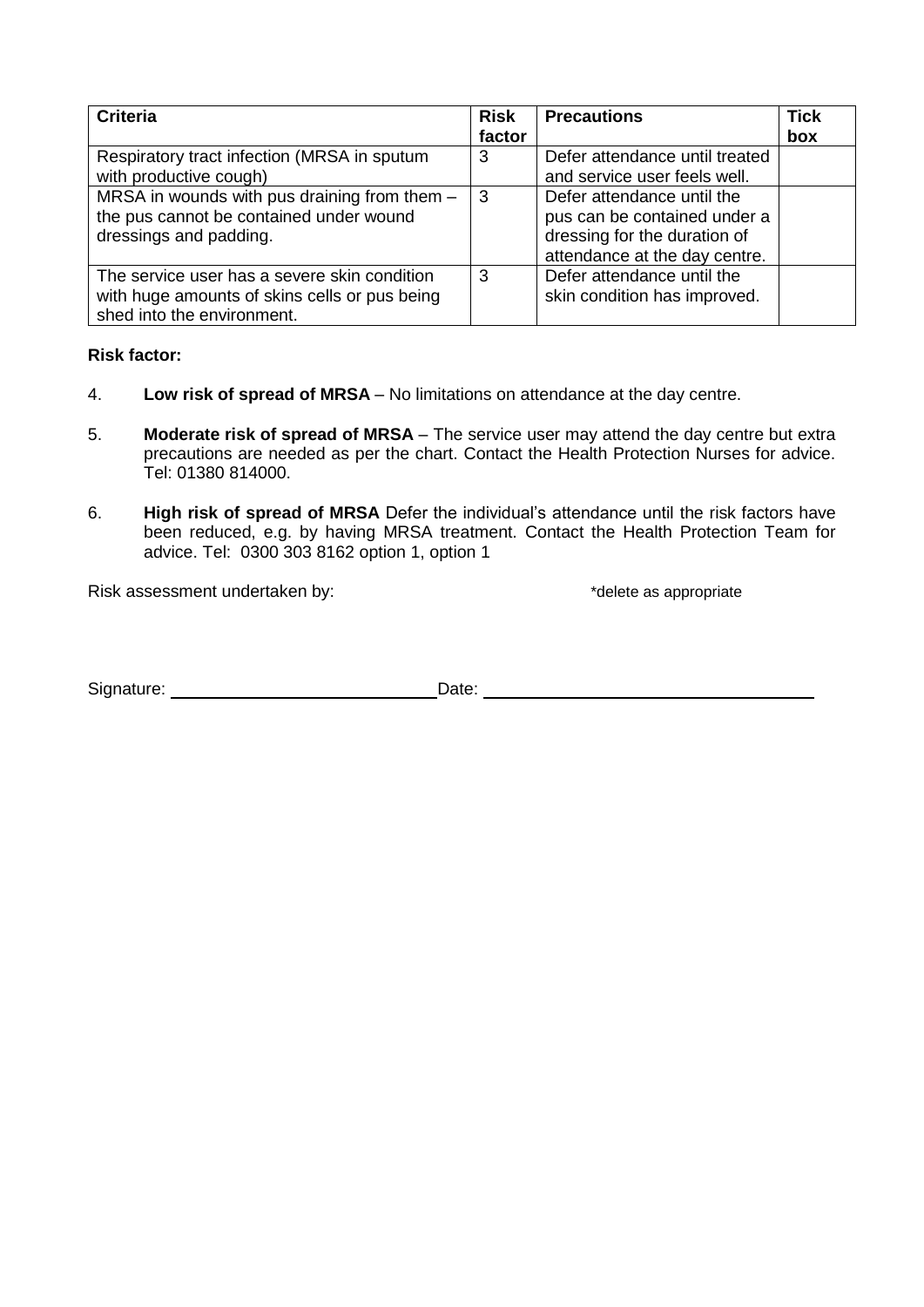| <b>Criteria</b>                                                                                                             | <b>Risk</b><br>factor | <b>Precautions</b>                                                                                                          | <b>Tick</b><br>box |
|-----------------------------------------------------------------------------------------------------------------------------|-----------------------|-----------------------------------------------------------------------------------------------------------------------------|--------------------|
| Respiratory tract infection (MRSA in sputum<br>with productive cough)                                                       | 3                     | Defer attendance until treated<br>and service user feels well.                                                              |                    |
| MRSA in wounds with pus draining from them -<br>the pus cannot be contained under wound<br>dressings and padding.           | 3                     | Defer attendance until the<br>pus can be contained under a<br>dressing for the duration of<br>attendance at the day centre. |                    |
| The service user has a severe skin condition<br>with huge amounts of skins cells or pus being<br>shed into the environment. | 3                     | Defer attendance until the<br>skin condition has improved.                                                                  |                    |

## **Risk factor:**

- 4. **Low risk of spread of MRSA** No limitations on attendance at the day centre.
- 5. **Moderate risk of spread of MRSA** The service user may attend the day centre but extra precautions are needed as per the chart. Contact the Health Protection Nurses for advice. Tel: 01380 814000.
- 6. **High risk of spread of MRSA** Defer the individual's attendance until the risk factors have been reduced, e.g. by having MRSA treatment. Contact the Health Protection Team for advice. Tel: 0300 303 8162 option 1, option 1

Risk assessment undertaken by:  $\blacksquare$  \*delete as appropriate

Signature: Date: Date: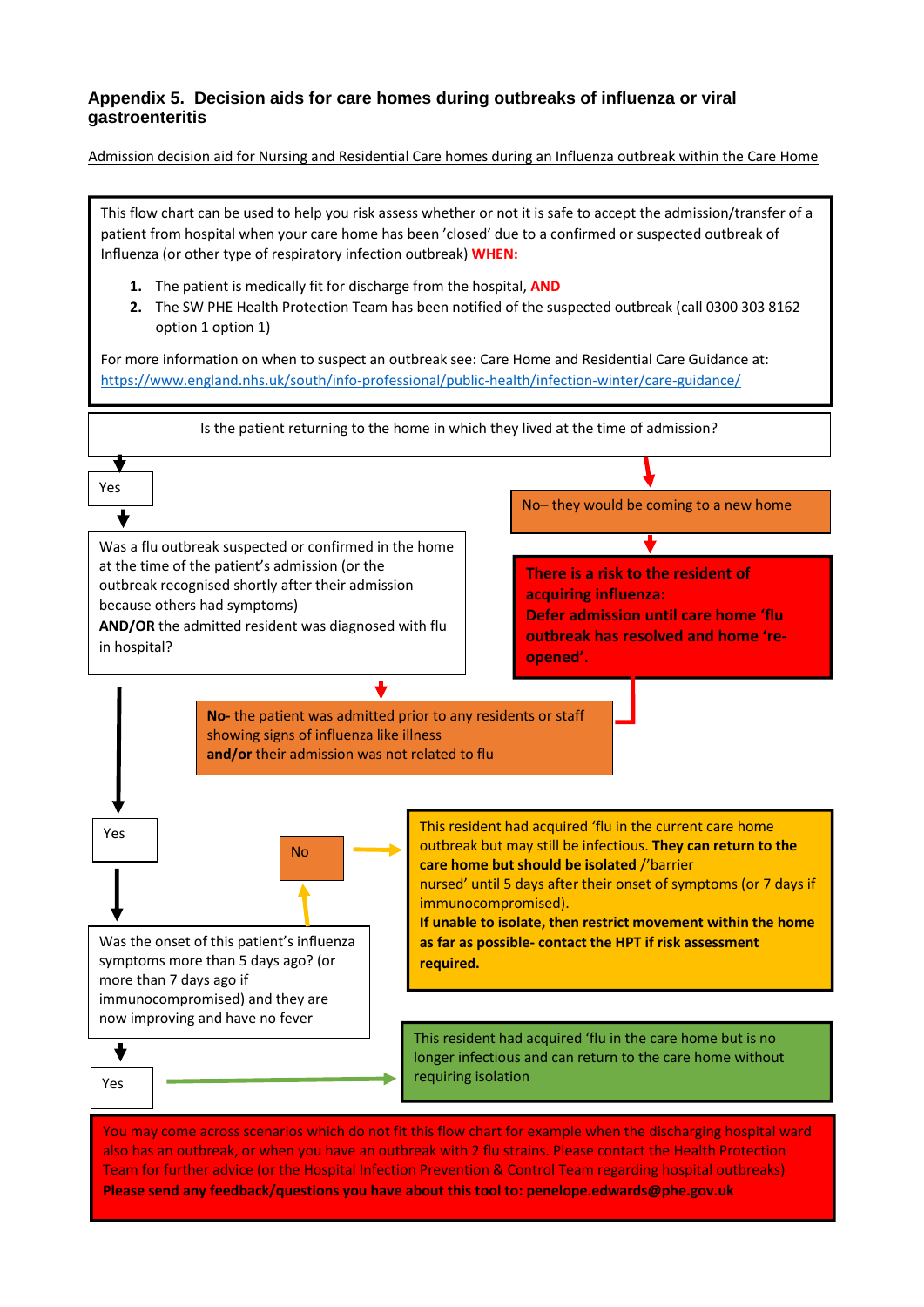#### **Appendix 5. Decision aids for care homes during outbreaks of influenza or viral gastroenteritis**

Admission decision aid for Nursing and Residential Care homes during an Influenza outbreak within the Care Home